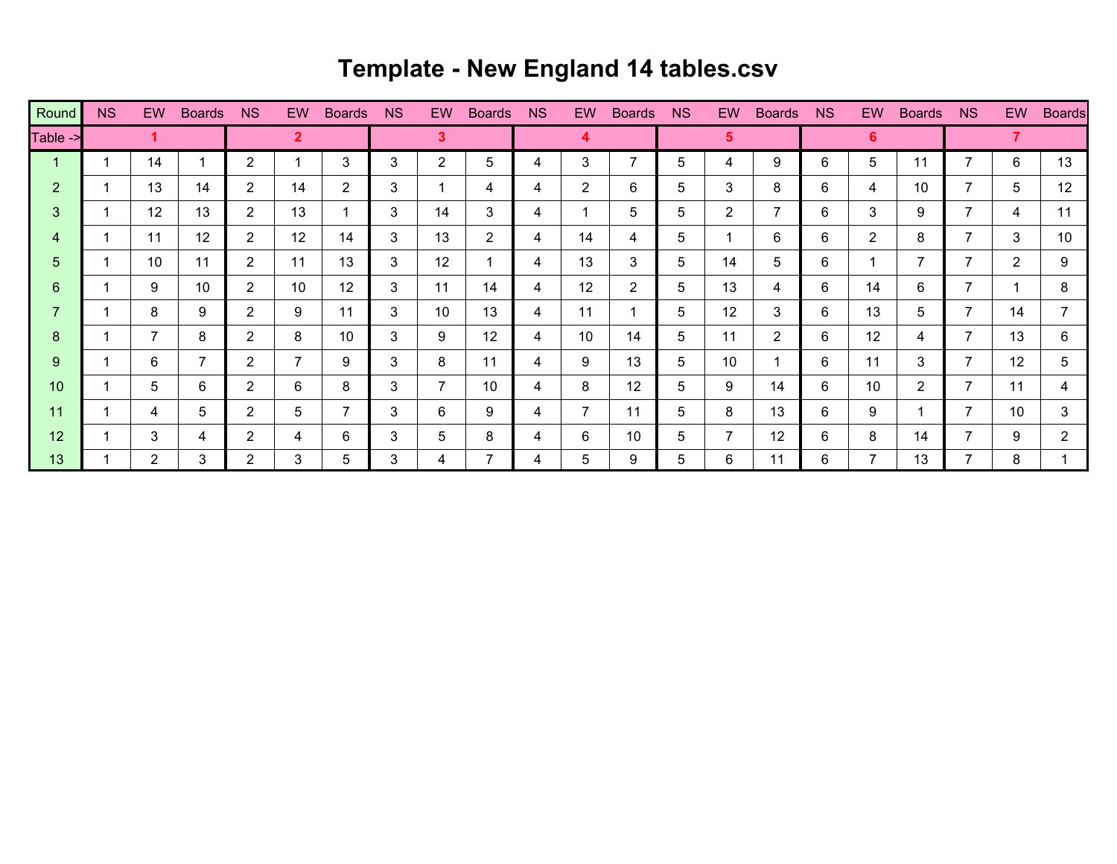## **Template - New England 14 tables.csv**

| Round          | <b>NS</b> | EW.                  | <b>Boards</b> | <b>NS</b>             | EW.            | <b>Boards</b>  | <b>NS</b> | EW.            | <b>Boards</b> | <b>NS</b> | <b>EW</b>    | <b>Boards</b>  | NS | <b>EW</b>      | <b>Boards</b> | N <sub>S</sub> | EW             | <b>Boards</b>         | NS.            | EW.            | <b>Boards</b>         |
|----------------|-----------|----------------------|---------------|-----------------------|----------------|----------------|-----------|----------------|---------------|-----------|--------------|----------------|----|----------------|---------------|----------------|----------------|-----------------------|----------------|----------------|-----------------------|
| Table ->       |           |                      |               |                       | $\overline{2}$ |                |           | 3              |               |           | 4            |                |    | 5              |               |                | 6.             |                       |                |                |                       |
|                |           | 14                   |               | $\overline{2}$        |                | 3              | 3         | $\overline{2}$ | 5             | 4         | 3            | $\overline{7}$ | 5  | 4              | 9             | 6              | 5              | 11                    | 7              | 6              | 13                    |
| $\overline{2}$ |           | 13                   | 14            | $\mathbf{2}^{\prime}$ | 14             | $\overline{2}$ | 3         |                | 4             | 4         | $\mathbf{2}$ | 6              | 5  | 3              | 8             | 6              | 4              | 10                    | 7              | 5              | 12                    |
| 3              |           | 12                   | 13            | $\mathbf{2}^{\prime}$ | 13             | $\mathbf 1$    | 3         | 14             | 3             | 4         |              | 5              | 5  | $\overline{2}$ | 7             | 6              | 3              | 9                     | 7              | 4              | 11                    |
| 4              |           | 11                   | 12            | $\mathbf{2}^{\prime}$ | 12             | 14             | 3         | 13             | $\mathbf{2}$  | 4         | 14           | 4              | 5  | 1              | 6             | 6              | $\overline{2}$ | 8                     | 7              | 3              | 10                    |
| 5              |           | 10                   | 11            | $\mathbf{2}^{\prime}$ | 11             | 13             | 3         | 12             |               | 4         | 13           | 3              | 5  | 14             | 5             | 6              |                | $\overline{7}$        | 7              | $\overline{2}$ | 9                     |
| 6              |           | 9                    | 10            | 2                     | 10             | 12             | 3         | 11             | 14            | 4         | 12           | $\mathbf{2}$   | 5  | 13             | 4             | 6              | 14             | 6                     | 7              |                | 8                     |
| 7              |           | 8                    | 9             | $\overline{2}$        | 9              | 11             | 3         | 10             | 13            | 4         | 11           |                | 5. | 12             | 3             | 6              | 13             | 5                     | $\overline{7}$ | 14             | $\overline{7}$        |
| 8              |           | 7                    | 8             | $\mathbf{2}^{\prime}$ | 8              | 10             | 3         | 9              | 12            | 4         | 10           | 14             | 5  | 11             | $\mathbf{2}$  | 6              | 12             | 4                     | 7              | 13             | 6                     |
| 9              |           | 6                    | 7             | $\overline{2}$        | $\overline{7}$ | 9              | 3         | 8              | 11            | 4         | 9            | 13             | 5  | 10             |               | 6              | 11             | 3                     | $\overline{7}$ | 12             | 5                     |
| 10             |           | 5                    | 6             | 2                     | 6              | 8              | 3         |                | 10            | 4         | 8            | 12             | 5  | 9              | 14            | 6              | 10             | $\mathbf{2}^{\prime}$ | $\overline{7}$ | 11             | 4                     |
| 11             |           | 4                    | 5             | $\overline{2}$        | 5              | $\overline{7}$ | 3         | 6              | 9             | 4         | 7            | 11             | 5  | 8              | 13            | 6              | 9              | 1                     | $\overline{7}$ | 10             | $\mathbf{3}$          |
| 12             |           | 3                    | 4             | $\overline{2}$        | 4              | 6              | 3         | 5              | 8             | 4         | 6            | 10             | 5  | 7              | 12            | 6              | 8              | 14                    | 7              | 9              | $\mathbf{2}^{\prime}$ |
| 13             |           | $\mathbf{2}^{\circ}$ | 3             | $\mathbf{2}^{\prime}$ | 3              | 5              | 3         | 4              |               | 4         | 5            | 9              | 5  | 6              | 11            | 6              | 7              | 13                    | 7              | 8              |                       |